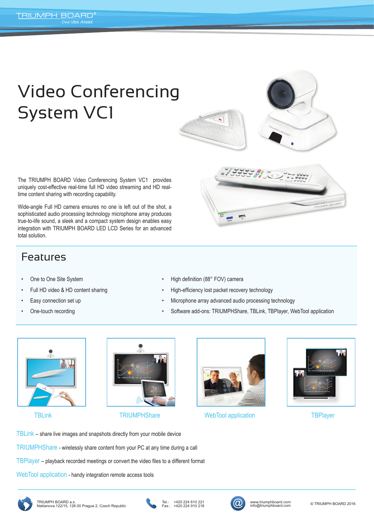## Video Conferencing System VC1

التي تاريخ المالي التي تاريخ<br>التي توفيق المالي التي تاريخ التي تاريخ التي تاريخ التي تاريخ التي تاريخ التي تاريخ التي تاريخ التي تاريخ التي<br>التي تاريخ التي تاريخ التي تاريخ التي تاريخ التي تاريخ التي تاريخ التي تاريخ التي

**Lance** 

The TRIUMPH BOARD Video Conferencing System VC1 provides uniquely cost-effective real-time full HD video streaming and HD realtime content sharing with recording capability.

Wide-angle Full HD camera ensures no one is left out of the shot, a sophisticated audio processing technology microphone array produces true-to-life sound, a sleek and a compact system design enables easy integration with TRIUMPH BOARD LED LCD Series for an advanced total solution.

## Features

- One to One Site System
- Full HD video & HD content sharing
- Easy connection set up
- One-touch recording
- High definition (88° FOV) camera
- High-efficiency lost packet recovery technology
- Microphone array advanced audio processing technology
- Software add-ons: TRIUMPHShare, TBLink, TBPlayer, WebTool application







TBLink TRIUMPHShare WebTool application TBPlayer



TBLink – share live images and snapshots directly from your mobile device

TRIUMPHShare - wirelessly share content from your PC at any time during a call

TBPlayer – playback recorded meetings or convert the video files to a different format

WebTool application - handy integration remote access tools